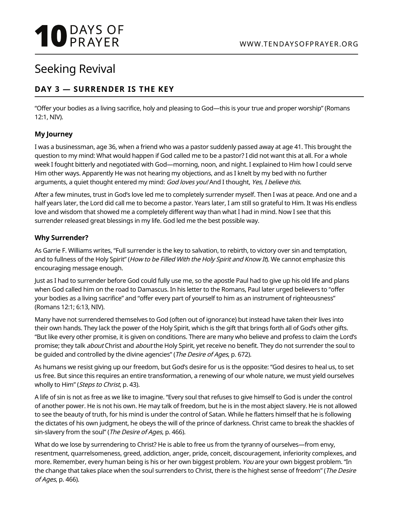# **10** DAYS OF

### Seeking Revival

#### **DAY 3 — SURRENDER IS THE KEY**

"Offer your bodies as a living sacrifice, holy and pleasing to God—this is your true and proper worship" (Romans 12:1, NIV).

#### **My Journey**

I was a businessman, age 36, when a friend who was a pastor suddenly passed away at age 41. This brought the question to my mind: What would happen if God called me to be a pastor? I did not want this at all. For a whole week I fought bitterly and negotiated with God—morning, noon, and night. I explained to Him how I could serve Him other ways. Apparently He was not hearing my objections, and as I knelt by my bed with no further arguments, a quiet thought entered my mind: God loves you! And I thought, Yes, I believe this.

After a few minutes, trust in God's love led me to completely surrender myself. Then I was at peace. And one and a half years later, the Lord did call me to become a pastor. Years later, I am still so grateful to Him. It was His endless love and wisdom that showed me a completely different way than what I had in mind. Now I see that this surrender released great blessings in my life. God led me the best possible way.

#### **Why Surrender?**

As Garrie F. Williams writes, "Full surrender is the key to salvation, to rebirth, to victory over sin and temptation, and to fullness of the Holy Spirit" (How to be Filled With the Holy Spirit and Know It). We cannot emphasize this encouraging message enough.

Just as I had to surrender before God could fully use me, so the apostle Paul had to give up his old life and plans when God called him on the road to Damascus. In his letter to the Romans, Paul later urged believers to "offer your bodies as a living sacrifice" and "offer every part of yourself to him as an instrument of righteousness" (Romans 12:1; 6:13, NIV).

Many have not surrendered themselves to God (often out of ignorance) but instead have taken their lives into their own hands. They lack the power of the Holy Spirit, which is the gift that brings forth all of God's other gifts. "But like every other promise, it is given on conditions. There are many who believe and profess to claim the Lord's promise; they talk *about* Christ and *about* the Holy Spirit, yet receive no benefit. They do not surrender the soul to be guided and controlled by the divine agencies" (The Desire of Ages, p. 672).

As humans we resist giving up our freedom, but God's desire for us is the opposite: "God desires to heal us, to set us free. But since this requires an entire transformation, a renewing of our whole nature, we must yield ourselves wholly to Him" (Steps to Christ, p. 43).

A life of sin is not as free as we like to imagine. "Every soul that refuses to give himself to God is under the control of another power. He is not his own. He may talk of freedom, but he is in the most abject slavery. He is not allowed to see the beauty of truth, for his mind is under the control of Satan. While he flatters himself that he is following the dictates of his own judgment, he obeys the will of the prince of darkness. Christ came to break the shackles of sin-slavery from the soul" (The Desire of Ages, p. 466).

What do we lose by surrendering to Christ? He is able to free us from the tyranny of ourselves—from envy, resentment, quarrelsomeness, greed, addiction, anger, pride, conceit, discouragement, inferiority complexes, and more. Remember, every human being is his or her own biggest problem. You are your own biggest problem. "In the change that takes place when the soul surrenders to Christ, there is the highest sense of freedom" (The Desire of Ages, p. 466).